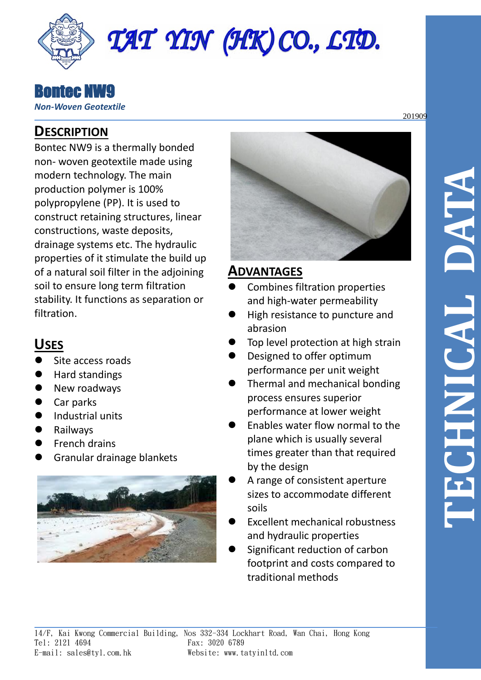

#### Bontec NW9 *Non-Woven Geotextile*

## **DESCRIPTION**

Bontec NW9 is a thermally bonded non- woven geotextile made using modern technology. The main production polymer is 100% polypropylene (PP). It is used to construct retaining structures, linear constructions, waste deposits, drainage systems etc. The hydraulic properties of it stimulate the build up of a natural soil filter in the adjoining soil to ensure long term filtration stability. It functions as separation or filtration.

# **USES**

- ⚫ Site access roads
- ⚫ Hard standings
- ⚫ New roadways
- ⚫ Car parks
- Industrial units
- **Railways**
- ⚫ French drains
- ⚫ Granular drainage blankets





# **ADVANTAGES**

- Combines filtration properties and high-water permeability
- ⚫ High resistance to puncture and abrasion
- ⚫ Top level protection at high strain
- ⚫ Designed to offer optimum performance per unit weight
- ⚫ Thermal and mechanical bonding process ensures superior performance at lower weight
- ⚫ Enables water flow normal to the plane which is usually several times greater than that required by the design
- ⚫ A range of consistent aperture sizes to accommodate different soils
- ⚫ Excellent mechanical robustness and hydraulic properties
- ⚫ Significant reduction of carbon footprint and costs compared to traditional methods

201909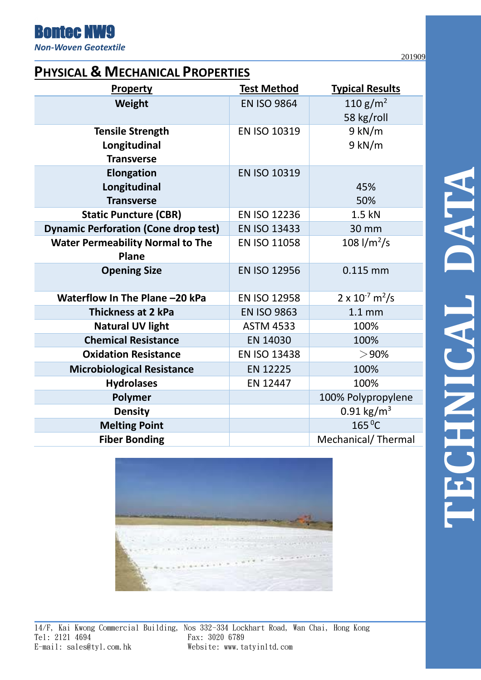*Non-Woven Geotextile*

Bontec NW9

201909

### **PHYSICAL & MECHANICAL PROPERTIES**

| <b>Property</b>                             | <b>Test Method</b>  | <b>Typical Results</b>               |
|---------------------------------------------|---------------------|--------------------------------------|
| Weight                                      | <b>EN ISO 9864</b>  | 110 g/m <sup>2</sup>                 |
|                                             |                     | 58 kg/roll                           |
| <b>Tensile Strength</b>                     | EN ISO 10319        | $9$ kN/m                             |
| Longitudinal                                |                     | $9$ kN/m                             |
| <b>Transverse</b>                           |                     |                                      |
| <b>Elongation</b>                           | <b>EN ISO 10319</b> |                                      |
| Longitudinal                                |                     | 45%                                  |
| <b>Transverse</b>                           |                     | 50%                                  |
| <b>Static Puncture (CBR)</b>                | <b>EN ISO 12236</b> | 1.5 kN                               |
| <b>Dynamic Perforation (Cone drop test)</b> | <b>EN ISO 13433</b> | 30 mm                                |
| <b>Water Permeability Normal to The</b>     | EN ISO 11058        | 108 $1/m^2/s$                        |
| Plane                                       |                     |                                      |
| <b>Opening Size</b>                         | <b>EN ISO 12956</b> | 0.115 mm                             |
|                                             |                     |                                      |
| Waterflow In The Plane -20 kPa              | EN ISO 12958        | $2 \times 10^{-7}$ m <sup>2</sup> /s |
| <b>Thickness at 2 kPa</b>                   | <b>EN ISO 9863</b>  | 1.1 <sub>mm</sub>                    |
| <b>Natural UV light</b>                     | <b>ASTM 4533</b>    | 100%                                 |
| <b>Chemical Resistance</b>                  | EN 14030            | 100%                                 |
| <b>Oxidation Resistance</b>                 | EN ISO 13438        | $>$ 90%                              |
| <b>Microbiological Resistance</b>           | EN 12225            | 100%                                 |
| <b>Hydrolases</b>                           | EN 12447            | 100%                                 |
| Polymer                                     |                     | 100% Polypropylene                   |
| <b>Density</b>                              |                     | 0.91 $\text{kg/m}^3$                 |
| <b>Melting Point</b>                        |                     | $165^{\circ}$ C                      |
| <b>Fiber Bonding</b>                        |                     | Mechanical/Thermal                   |





14/F, Kai Kwong Commercial Building, Nos 332-334 Lockhart Road, Wan Chai, Hong Kong Tel: 2121 4694 Fax: 3020 6789 E-mail: sales@tyl.com.hk Website: www.tatyinltd.com